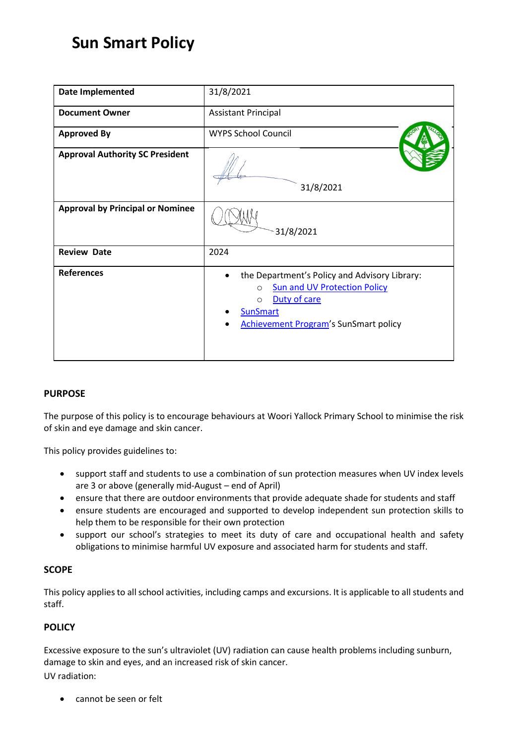# **Sun Smart Policy**

| Date Implemented                        | 31/8/2021                                                                                                                                                                                     |
|-----------------------------------------|-----------------------------------------------------------------------------------------------------------------------------------------------------------------------------------------------|
| <b>Document Owner</b>                   | <b>Assistant Principal</b>                                                                                                                                                                    |
| <b>Approved By</b>                      | <b>WYPS School Council</b>                                                                                                                                                                    |
| <b>Approval Authority SC President</b>  | 31/8/2021                                                                                                                                                                                     |
| <b>Approval by Principal or Nominee</b> | 31/8/2021                                                                                                                                                                                     |
| <b>Review Date</b>                      | 2024                                                                                                                                                                                          |
| <b>References</b>                       | the Department's Policy and Advisory Library:<br><b>Sun and UV Protection Policy</b><br>$\circ$<br>Duty of care<br>$\circ$<br><b>SunSmart</b><br><b>Achievement Program's SunSmart policy</b> |

# **PURPOSE**

The purpose of this policy is to encourage behaviours at Woori Yallock Primary School to minimise the risk of skin and eye damage and skin cancer.

This policy provides guidelines to:

- support staff and students to use a combination of sun protection measures when UV index levels are 3 or above (generally mid-August – end of April)
- ensure that there are outdoor environments that provide adequate shade for students and staff
- ensure students are encouraged and supported to develop independent sun protection skills to help them to be responsible for their own protection
- support our school's strategies to meet its duty of care and occupational health and safety obligations to minimise harmful UV exposure and associated harm for students and staff.

# **SCOPE**

This policy applies to all school activities, including camps and excursions. It is applicable to all students and staff.

# **POLICY**

Excessive exposure to the sun's ultraviolet (UV) radiation can cause health problems including sunburn, damage to skin and eyes, and an increased risk of skin cancer. UV radiation:

cannot be seen or felt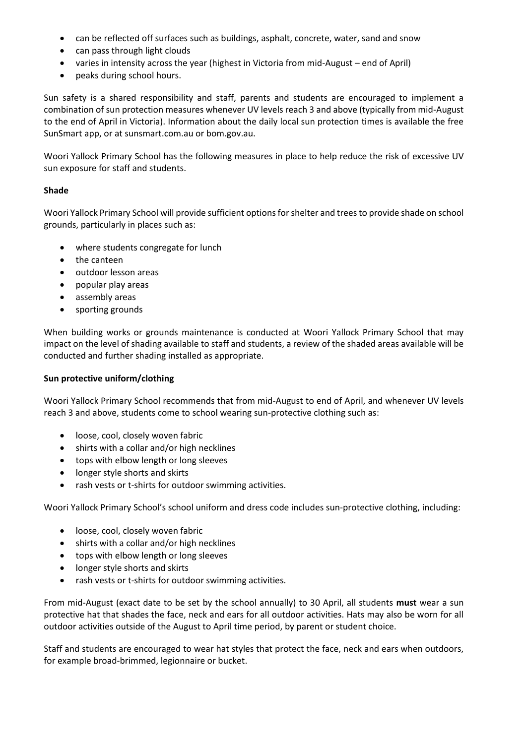- can be reflected off surfaces such as buildings, asphalt, concrete, water, sand and snow
- can pass through light clouds
- varies in intensity across the year (highest in Victoria from mid-August end of April)
- peaks during school hours.

Sun safety is a shared responsibility and staff, parents and students are encouraged to implement a combination of sun protection measures whenever UV levels reach 3 and above (typically from mid-August to the end of April in Victoria). Information about the daily local sun protection times is available the free [SunSmart app,](http://www.sunsmart.com.au/tools/interactive-tools/free-sunsmart-app) or at [sunsmart.com.au](http://www.sunsmart.com.au/) or bom.gov.au.

Woori Yallock Primary School has the following measures in place to help reduce the risk of excessive UV sun exposure for staff and students.

#### **Shade**

Woori Yallock Primary School will provide sufficient options for shelter and trees to provide shade on school grounds, particularly in places such as:

- where students congregate for lunch
- the canteen
- outdoor lesson areas
- popular play areas
- assembly areas
- sporting grounds

When building works or grounds maintenance is conducted at Woori Yallock Primary School that may impact on the level of shading available to staff and students, a review of the shaded areas available will be conducted and further shading installed as appropriate.

#### **Sun protective uniform/clothing**

Woori Yallock Primary School recommends that from mid-August to end of April, and whenever UV levels reach 3 and above, students come to school wearing sun-protective clothing such as:

- loose, cool, closely woven fabric
- shirts with a collar and/or high necklines
- tops with elbow length or long sleeves
- longer style shorts and skirts
- rash vests or t-shirts for outdoor swimming activities.

Woori Yallock Primary School's school uniform and dress code includes sun-protective clothing, including:

- loose, cool, closely woven fabric
- shirts with a collar and/or high necklines
- tops with elbow length or long sleeves
- longer style shorts and skirts
- rash vests or t-shirts for outdoor swimming activities.

From mid-August (exact date to be set by the school annually) to 30 April, all students **must** wear a sun protective hat that shades the face, neck and ears for all outdoor activities. Hats may also be worn for all outdoor activities outside of the August to April time period, by parent or student choice.

Staff and students are encouraged to wear hat styles that protect the face, neck and ears when outdoors, for example broad-brimmed, legionnaire or bucket.